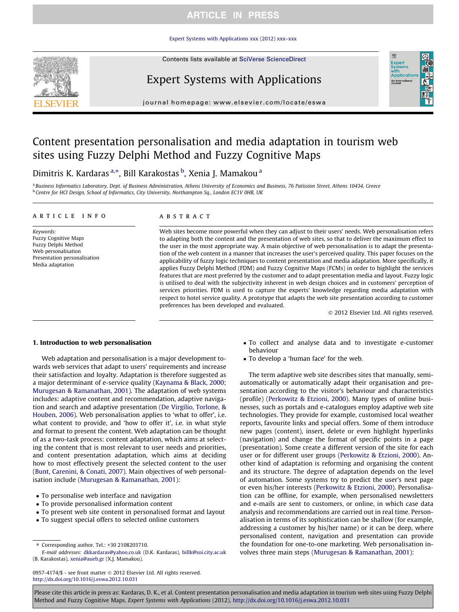# **ARTICLE IN PRESS**

[Expert Systems with Applications xxx \(2012\) xxx–xxx](http://dx.doi.org/10.1016/j.eswa.2012.10.031)

Contents lists available at [SciVerse ScienceDirect](http://www.sciencedirect.com/science/journal/09574174)



# Exper<br>Syster **Applicatio** An Interna

journal homepage: [www.elsevier.com/locate/eswa](http://www.elsevier.com/locate/eswa)

Expert Systems with Applications

# Content presentation personalisation and media adaptation in tourism web sites using Fuzzy Delphi Method and Fuzzy Cognitive Maps

Dimitris K. Kardaras <sup>a,</sup>\*, Bill Karakostas <sup>b</sup>, Xenia J. Mamakou <sup>a</sup>

a Business Informatics Laboratory, Dept. of Business Administration, Athens University of Economics and Business, 76 Patission Street, Athens 10434, Greece <sup>b</sup> Centre for HCI Design, School of Informatics, City University, Northampton Sq., London EC1V 0HB, UK

## article info

Keywords: Fuzzy Cognitive Maps Fuzzy Delphi Method Web personalisation Presentation personalisation Media adaptation

## **ABSTRACT**

Web sites become more powerful when they can adjust to their users' needs. Web personalisation refers to adapting both the content and the presentation of web sites, so that to deliver the maximum effect to the user in the most appropriate way. A main objective of web personalisation is to adapt the presentation of the web content in a manner that increases the user's perceived quality. This paper focuses on the applicability of fuzzy logic techniques to content presentation and media adaptation. More specifically, it applies Fuzzy Delphi Method (FDM) and Fuzzy Cognitive Maps (FCMs) in order to highlight the services features that are most preferred by the customer and to adapt presentation media and layout. Fuzzy logic is utilised to deal with the subjectivity inherent in web design choices and in customers' perception of services priorities. FDM is used to capture the experts' knowledge regarding media adaptation with respect to hotel service quality. A prototype that adapts the web site presentation according to customer preferences has been developed and evaluated.

- 2012 Elsevier Ltd. All rights reserved.

## 1. Introduction to web personalisation

Web adaptation and personalisation is a major development towards web services that adapt to users' requirements and increase their satisfaction and loyalty. Adaptation is therefore suggested as a major determinant of e-service quality ([Kaynama & Black, 2000;](#page--1-0) [Murugesan & Ramanathan, 2001\)](#page--1-0). The adaptation of web systems includes: adaptive content and recommendation, adaptive navigation and search and adaptive presentation [\(De Virgilio, Torlone, &](#page--1-0) [Houben, 2006\)](#page--1-0). Web personalisation applies to 'what to offer', i.e. what content to provide, and 'how to offer it', i.e. in what style and format to present the content. Web adaptation can be thought of as a two-task process: content adaptation, which aims at selecting the content that is most relevant to user needs and priorities, and content presentation adaptation, which aims at deciding how to most effectively present the selected content to the user ([Bunt, Carenini, & Conati, 2007\)](#page--1-0). Main objectives of web personalisation include [\(Murugesan & Ramanathan, 2001](#page--1-0)):

- To personalise web interface and navigation
- To provide personalised information content
- To present web site content in personalised format and layout
- To suggest special offers to selected online customers

0957-4174/\$ - see front matter © 2012 Elsevier Ltd. All rights reserved. <http://dx.doi.org/10.1016/j.eswa.2012.10.031>

- To collect and analyse data and to investigate e-customer behaviour
- To develop a 'human face' for the web.

The term adaptive web site describes sites that manually, semiautomatically or automatically adapt their organisation and presentation according to the visitor's behaviour and characteristics (profile) ([Perkowitz & Etzioni, 2000](#page--1-0)). Many types of online businesses, such as portals and e-catalogues employ adaptive web site technologies. They provide for example, customised local weather reports, favourite links and special offers. Some of them introduce new pages (content), insert, delete or even highlight hyperlinks (navigation) and change the format of specific points in a page (presentation). Some create a different version of the site for each user or for different user groups ([Perkowitz & Etzioni, 2000](#page--1-0)). Another kind of adaptation is reforming and organising the content and its structure. The degree of adaptation depends on the level of automation. Some systems try to predict the user's next page or even his/her interests [\(Perkowitz & Etzioni, 2000](#page--1-0)). Personalisation can be offline, for example, when personalised newsletters and e-mails are sent to customers, or online, in which case data analysis and recommendations are carried out in real time. Personalisation in terms of its sophistication can be shallow (for example, addressing a customer by his/her name) or it can be deep, where personalised content, navigation and presentation can provide the foundation for one-to-one marketing. Web personalisation involves three main steps ([Murugesan & Ramanathan, 2001\)](#page--1-0):

Please cite this article in press as: Kardaras, D. K., et al. Content presentation personalisation and media adaptation in tourism web sites using Fuzzy Delphi Method and Fuzzy Cognitive Maps. Expert Systems with Applications (2012), <http://dx.doi.org/10.1016/j.eswa.2012.10.031>

<sup>⇑</sup> Corresponding author. Tel.: +30 2108203710.

E-mail addresses: [dkkardaras@yahoo.co.uk](mailto:dkkardaras@yahoo.co.uk) (D.K. Kardaras), [billk@soi.city.ac.uk](mailto:billk@soi.city.ac.uk) (B. Karakostas), [xenia@aueb.gr](mailto:xenia@aueb.gr) (X.J. Mamakou).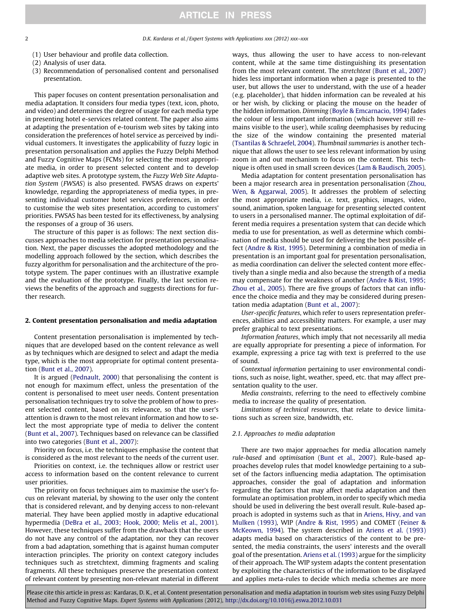## **ARTICLE IN PRESS**

- (1) User behaviour and profile data collection.
- (2) Analysis of user data.
- (3) Recommendation of personalised content and personalised presentation.

This paper focuses on content presentation personalisation and media adaptation. It considers four media types (text, icon, photo, and video) and determines the degree of usage for each media type in presenting hotel e-services related content. The paper also aims at adapting the presentation of e-tourism web sites by taking into consideration the preferences of hotel service as perceived by individual customers. It investigates the applicability of fuzzy logic in presentation personalisation and applies the Fuzzy Delphi Method and Fuzzy Cognitive Maps (FCMs) for selecting the most appropriate media, in order to present selected content and to develop adaptive web sites. A prototype system, the Fuzzy Web Site Adaptation System (FWSAS) is also presented. FWSAS draws on experts' knowledge, regarding the appropriateness of media types, in presenting individual customer hotel services preferences, in order to customise the web sites presentation, according to customers' priorities. FWSAS has been tested for its effectiveness, by analysing the responses of a group of 36 users.

The structure of this paper is as follows: The next section discusses approaches to media selection for presentation personalisation. Next, the paper discusses the adopted methodology and the modelling approach followed by the section, which describes the fuzzy algorithm for personalisation and the architecture of the prototype system. The paper continues with an illustrative example and the evaluation of the prototype. Finally, the last section reviews the benefits of the approach and suggests directions for further research.

## 2. Content presentation personalisation and media adaptation

Content presentation personalisation is implemented by techniques that are developed based on the content relevance as well as by techniques which are designed to select and adapt the media type, which is the most appropriate for optimal content presentation [\(Bunt et al., 2007](#page--1-0)).

It is argued ([Pednault, 2000\)](#page--1-0) that personalising the content is not enough for maximum effect, unless the presentation of the content is personalised to meet user needs. Content presentation personalisation techniques try to solve the problem of how to present selected content, based on its relevance, so that the user's attention is drawn to the most relevant information and how to select the most appropriate type of media to deliver the content ([Bunt et al., 2007\)](#page--1-0). Techniques based on relevance can be classified into two categories ([Bunt et al., 2007](#page--1-0)):

Priority on focus, i.e. the techniques emphasise the content that is considered as the most relevant to the needs of the current user.

Priorities on context, i.e. the techniques allow or restrict user access to information based on the content relevance to current user priorities.

The priority on focus techniques aim to maximise the user's focus on relevant material, by showing to the user only the content that is considered relevant, and by denying access to non-relevant material. They have been applied mostly in adaptive educational hypermedia ([DeBra et al., 2003; Hook, 2000; Melis et al., 2001\)](#page--1-0). However, these techniques suffer from the drawback that the users do not have any control of the adaptation, nor they can recover from a bad adaptation, something that is against human computer interaction principles. The priority on context category includes techniques such as stretchtext, dimming fragments and scaling fragments. All these techniques preserve the presentation context of relevant content by presenting non-relevant material in different ways, thus allowing the user to have access to non-relevant content, while at the same time distinguishing its presentation from the most relevant content. The stretchtext ([Bunt et al., 2007\)](#page--1-0) hides less important information when a page is presented to the user, but allows the user to understand, with the use of a header (e.g. placeholder), that hidden information can be revealed at his or her wish, by clicking or placing the mouse on the header of the hidden information. Dimming [\(Boyle & Emcarnacio, 1994](#page--1-0)) fades the colour of less important information (which however still remains visible to the user), while scaling deemphasises by reducing the size of the window containing the presented material ([Tsantilas & Schraefel, 2004](#page--1-0)). Thumbnail summaries is another technique that allows the user to see less relevant information by using zoom in and out mechanism to focus on the content. This technique is often used in small screen devices ([Lam & Baudisch, 2005\)](#page--1-0).

Media adaptation for content presentation personalisation has been a major research area in presentation personalisation ([Zhou,](#page--1-0) [Wen, & Aggarwal, 2005\)](#page--1-0). It addresses the problem of selecting the most appropriate media, i.e. text, graphics, images, video, sound, animation, spoken language for presenting selected content to users in a personalised manner. The optimal exploitation of different media requires a presentation system that can decide which media to use for presentation, as well as determine which combination of media should be used for delivering the best possible effect ([Andre & Rist, 1995\)](#page--1-0). Determining a combination of media in presentation is an important goal for presentation personalisation, as media coordination can deliver the selected content more effectively than a single media and also because the strength of a media may compensate for the weakness of another [\(Andre & Rist, 1995;](#page--1-0) [Zhou et al., 2005](#page--1-0)). There are five groups of factors that can influence the choice media and they may be considered during presentation media adaptation [\(Bunt et al., 2007\)](#page--1-0):

User-specific features, which refer to users representation preferences, abilities and accessibility matters. For example, a user may prefer graphical to text presentations.

Information features, which imply that not necessarily all media are equally appropriate for presenting a piece of information. For example, expressing a price tag with text is preferred to the use of sound.

Contextual information pertaining to user environmental conditions, such as noise, light, weather, speed, etc. that may affect presentation quality to the user.

Media constraints, referring to the need to effectively combine media to increase the quality of presentation.

Limitations of technical resources, that relate to device limitations such as screen size, bandwidth, etc.

## 2.1. Approaches to media adaptation

There are two major approaches for media allocation namely rule-based and optimisation ([Bunt et al., 2007](#page--1-0)). Rule-based approaches develop rules that model knowledge pertaining to a subset of the factors influencing media adaptation. The optimisation approaches, consider the goal of adaptation and information regarding the factors that may affect media adaptation and then formulate an optimisation problem, in order to specify which media should be used in delivering the best overall result. Rule-based approach is adopted in systems such as that in [Ariens, Hivy, and van](#page--1-0) [Mulken \(1993\)](#page--1-0), WIP ([Andre & Rist, 1995](#page--1-0)) and COMET [\(Feiner &](#page--1-0) [McKeown, 1994](#page--1-0)). The system described in [Ariens et al. \(1993\)](#page--1-0) adapts media based on characteristics of the content to be presented, the media constraints, the users' interests and the overall goal of the presentation. [Ariens et al. \(1993\)](#page--1-0) argue for the simplicity of their approach. The WIP system adapts the content presentation by exploiting the characteristics of the information to be displayed and applies meta-rules to decide which media schemes are more

Please cite this article in press as: Kardaras, D. K., et al. Content presentation personalisation and media adaptation in tourism web sites using Fuzzy Delphi Method and Fuzzy Cognitive Maps. Expert Systems with Applications (2012), <http://dx.doi.org/10.1016/j.eswa.2012.10.031>